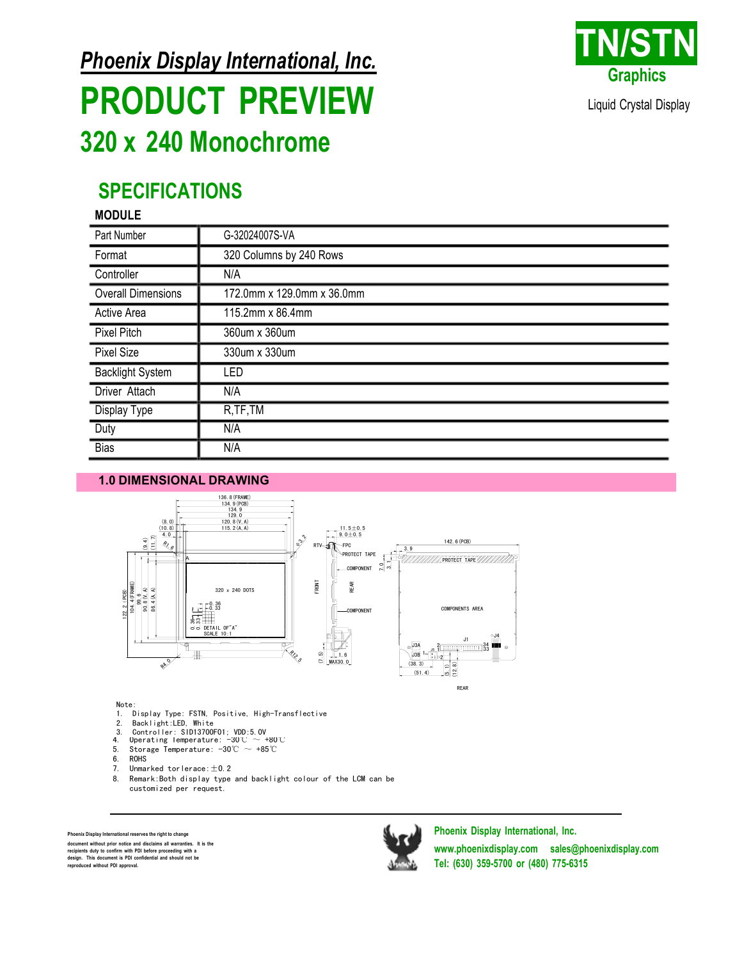**Phoenix Display International, Inc.** 

## **PRODUCT PREVIEW** 320 x 240 Monochrome



Liquid Crystal Display

## **SPECIFICATIONS**

#### **MODULE**

| Part Number               | G-32024007S-VA             |  |
|---------------------------|----------------------------|--|
| Format                    | 320 Columns by 240 Rows    |  |
| Controller                | N/A                        |  |
| <b>Overall Dimensions</b> | 172.0mm x 129.0mm x 36.0mm |  |
| Active Area               | 115.2mm x 86.4mm           |  |
| <b>Pixel Pitch</b>        | 360um x 360um              |  |
| <b>Pixel Size</b>         | 330um x 330um              |  |
| <b>Backlight System</b>   | LED                        |  |
| Driver Attach             | N/A                        |  |
| <b>Display Type</b>       | R, TF, TM                  |  |
| Duty                      | N/A                        |  |
| <b>Bias</b>               | N/A                        |  |

#### **1.0 DIMENSIONAL DRAWING**





#### Note:

1. Display Type: FSTN, Positive, High-Transflective

- $2.$ Backlight:LED, White
- 
- 2. Controller: SID13700F01; VDD:5.0V<br>4. Operating Temperature:  $-30^{\circ}\text{C} \sim +80^{\circ}\text{C}$ <br>5. Storage Temperature:  $-30^{\circ}\text{C} \sim +85^{\circ}\text{C}$
- ROHS<sup>T</sup>
- $6.$
- Unmarked torlerace:  $\pm$  0.2  $7.$
- Remark: Both display type and backlight colour of the LCM can be 8. customized per request.

enix Display International reserves the right to change document without prior notice and disclaims all warranties. It is the document without prior notice and disclaims all warranties. It<br>recipients duty to confirm with PDI before proceeding with a<br>design. This document is PDI confidential and should not be<br>reproduced without PDI approval.



Phoenix Display International, Inc. www.phoenixdisplay.com sales@phoenixdisplay.com Tel: (630) 359-5700 or (480) 775-6315